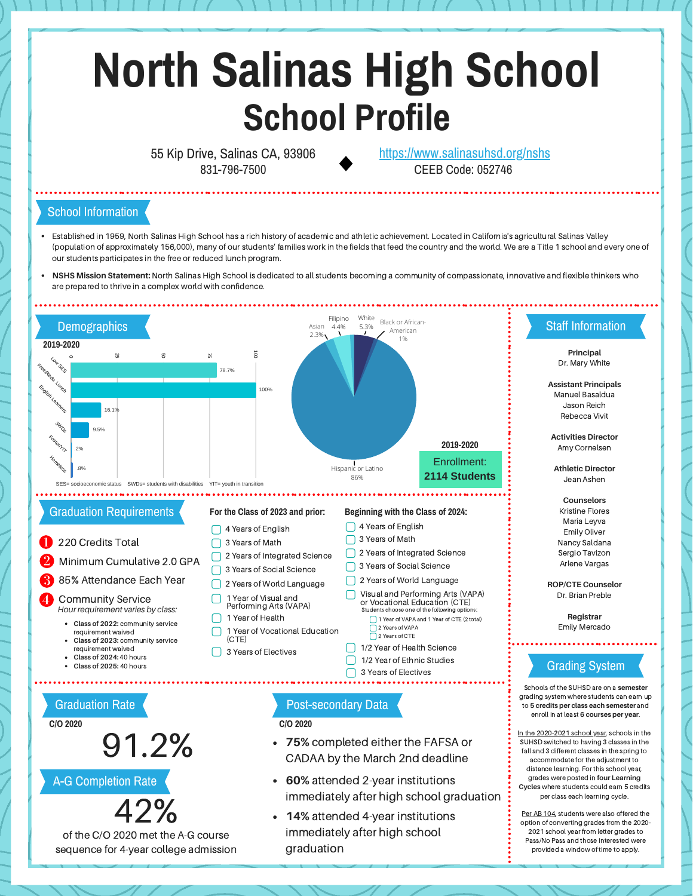# **North Salinas High School School Profile**

55 Kip Drive, Salinas CA, 93906 831-796-7500

CEEB Code: 052746 <https://www.salinasuhsd.org/nshs>

#### School Information

- Established in 1959, North Salinas High School has a rich history of academic and athletic achievement. Located in California's agricultural Salinas Valley (population of approximately 156,000), many of our students' families work in the fields that feed the country and the world. We are a Title 1 school and every one of our students participates in the free or reduced lunch program.
- **NSHS Mission Statement:** North Salinas High School is dedicated to all students becoming a community of compassionate, innovative and flexible thinkers who are prepared to thrive in a complex world with confidence.



A-G Completion Rate



of the C/O 2020 met the A-G course sequence for 4-year college admission **60%** attended 2-year institutions immediately after high school graduation

grades were posted in **four Learning Cycles** where students could earn 5 credits per class each learning cycle. Per AB 104, students were also offered the option of converting grades from the 2020- 2021 school year from letter grades to Pass/No Pass and those interested were provided a window of time to apply.

**14%** attended 4-year institutions immediately after high school graduation